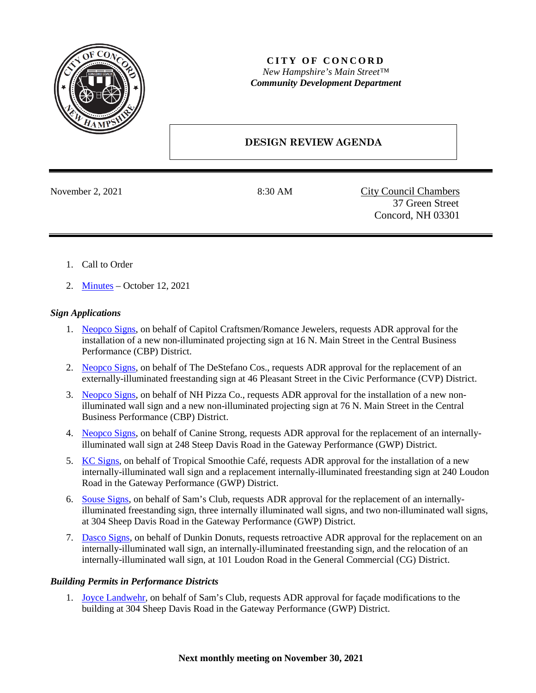

## **CITY OF CONCORD** *New Hampshire's Main Street™ Community Development Department*

# **DESIGN REVIEW AGENDA**

November 2, 2021 8:30 AM City Council Chambers 37 Green Street Concord, NH 03301

- 1. Call to Order
- 2. [Minutes](https://www.concordnh.gov/DocumentCenter/View/18010/10122021) October 12, 2021

## *Sign Applications*

- 1. [Neopco Signs,](https://www.concordnh.gov/DocumentCenter/View/17996/16-N-Main-St---Cap-Craft-Rom-Jewelers---1-sign-for-ADR) on behalf of Capitol Craftsmen/Romance Jewelers, requests ADR approval for the installation of a new non-illuminated projecting sign at 16 N. Main Street in the Central Business Performance (CBP) District.
- 2. [Neopco Signs,](https://www.concordnh.gov/DocumentCenter/View/17993/46-Pleasant-St---Century-21---1-sign-for-ADR) on behalf of The DeStefano Cos., requests ADR approval for the replacement of an externally-illuminated freestanding sign at 46 Pleasant Street in the Civic Performance (CVP) District.
- 3. [Neopco Signs,](https://www.concordnh.gov/DocumentCenter/View/17995/76-N-Main-St---NH-Pizza---2-signs-for-ADR) on behalf of NH Pizza Co., requests ADR approval for the installation of a new nonilluminated wall sign and a new non-illuminated projecting sign at 76 N. Main Street in the Central Business Performance (CBP) District.
- 4. [Neopco Signs,](https://www.concordnh.gov/DocumentCenter/View/17991/248-Sheep-Davis-Rd---Canine-Strong---1-Sign-for-ADR) on behalf of Canine Strong, requests ADR approval for the replacement of an internallyilluminated wall sign at 248 Steep Davis Road in the Gateway Performance (GWP) District.
- 5. [KC Signs,](https://www.concordnh.gov/DocumentCenter/View/17990/240-Loudon-Rd---Tropical-Smoothie---2-signs-for-ADR) on behalf of Tropical Smoothie Café, requests ADR approval for the installation of a new internally-illuminated wall sign and a replacement internally-illuminated freestanding sign at 240 Loudon Road in the Gateway Performance (GWP) District.
- 6. [Souse Signs,](https://www.concordnh.gov/DocumentCenter/View/17997/304-Sheep-Davis-Rd---Sams-Club---6-Signs-for-ADR) on behalf of Sam's Club, requests ADR approval for the replacement of an internallyilluminated freestanding sign, three internally illuminated wall signs, and two non-illuminated wall signs, at 304 Sheep Davis Road in the Gateway Performance (GWP) District.
- 7. [Dasco Signs,](https://www.concordnh.gov/DocumentCenter/View/18011/101-Loudon-Rd---Dunkin---1-for-ADR) on behalf of Dunkin Donuts, requests retroactive ADR approval for the replacement on an internally-illuminated wall sign, an internally-illuminated freestanding sign, and the relocation of an internally-illuminated wall sign, at 101 Loudon Road in the General Commercial (CG) District.

### *Building Permits in Performance Districts*

1. [Joyce Landwehr,](https://www.concordnh.gov/DocumentCenter/View/17992/SamsClubElevations) on behalf of Sam's Club, requests ADR approval for façade modifications to the building at 304 Sheep Davis Road in the Gateway Performance (GWP) District.